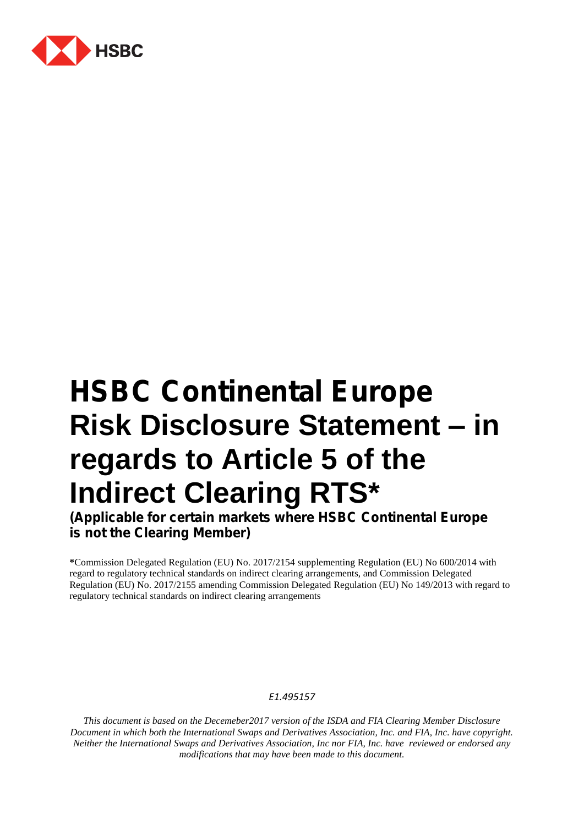

# **HSBC Continental Europe Risk Disclosure Statement – in regards to Article 5 of the Indirect Clearing RTS\***

**(Applicable for certain markets where HSBC Continental Europe is not the Clearing Member)** 

**\***Commission Delegated Regulation (EU) No. 2017/2154 supplementing Regulation (EU) No 600/2014 with regard to regulatory technical standards on indirect clearing arrangements, and Commission Delegated Regulation (EU) No. 2017/2155 amending Commission Delegated Regulation (EU) No 149/2013 with regard to regulatory technical standards on indirect clearing arrangements

## *E1.495157*

*This document is based on the Decemeber2017 version of the ISDA and FIA Clearing Member Disclosure Document in which both the International Swaps and Derivatives Association, Inc. and FIA, Inc. have copyright. Neither the International Swaps and Derivatives Association, Inc nor FIA, Inc. have reviewed or endorsed any modifications that may have been made to this document.*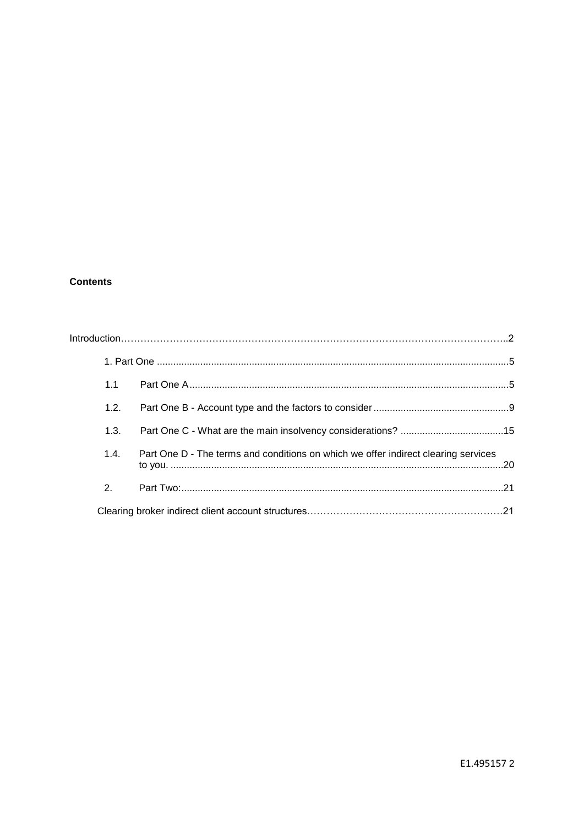# **Contents**

|                | 1.1                                                                                        |  |
|----------------|--------------------------------------------------------------------------------------------|--|
| 1.2.           |                                                                                            |  |
| 1.3.           |                                                                                            |  |
|                | Part One D - The terms and conditions on which we offer indirect clearing services<br>1.4. |  |
| 2 <sup>1</sup> |                                                                                            |  |
|                |                                                                                            |  |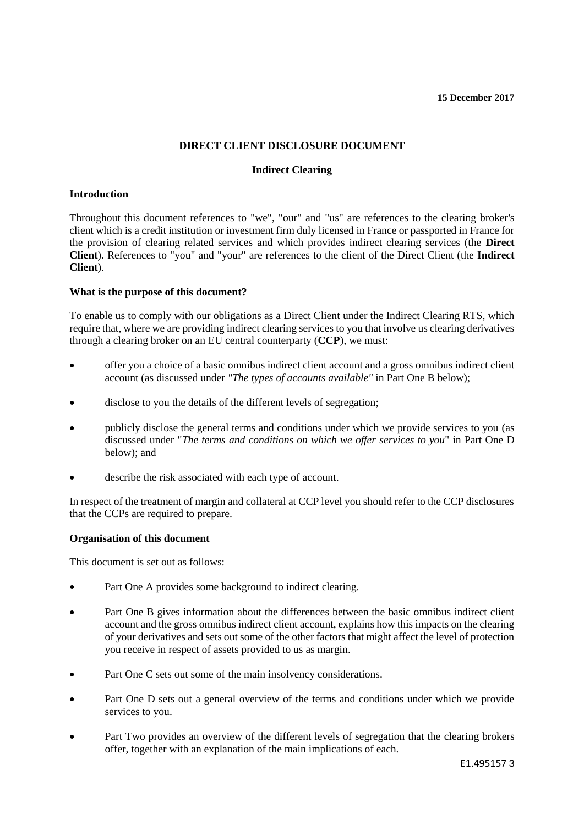#### **15 December 2017**

# **DIRECT CLIENT DISCLOSURE DOCUMENT**

## **Indirect Clearing**

#### **Introduction**

Throughout this document references to "we", "our" and "us" are references to the clearing broker's client which is a credit institution or investment firm duly licensed in France or passported in France for the provision of clearing related services and which provides indirect clearing services (the **Direct Client**). References to "you" and "your" are references to the client of the Direct Client (the **Indirect Client**).

## **What is the purpose of this document?**

To enable us to comply with our obligations as a Direct Client under the Indirect Clearing RTS, which require that, where we are providing indirect clearing services to you that involve us clearing derivatives through a clearing broker on an EU central counterparty (**CCP**), we must:

- offer you a choice of a basic omnibus indirect client account and a gross omnibus indirect client account (as discussed under *"The types of accounts available"* in Part One B below);
- disclose to you the details of the different levels of segregation;
- publicly disclose the general terms and conditions under which we provide services to you (as discussed under "*The terms and conditions on which we offer services to you*" in Part One D below); and
- describe the risk associated with each type of account.

In respect of the treatment of margin and collateral at CCP level you should refer to the CCP disclosures that the CCPs are required to prepare.

## **Organisation of this document**

This document is set out as follows:

- Part One A provides some background to indirect clearing.
- Part One B gives information about the differences between the basic omnibus indirect client account and the gross omnibus indirect client account, explains how this impacts on the clearing of your derivatives and sets out some of the other factors that might affect the level of protection you receive in respect of assets provided to us as margin.
- Part One C sets out some of the main insolvency considerations.
- Part One D sets out a general overview of the terms and conditions under which we provide services to you.
- Part Two provides an overview of the different levels of segregation that the clearing brokers offer, together with an explanation of the main implications of each.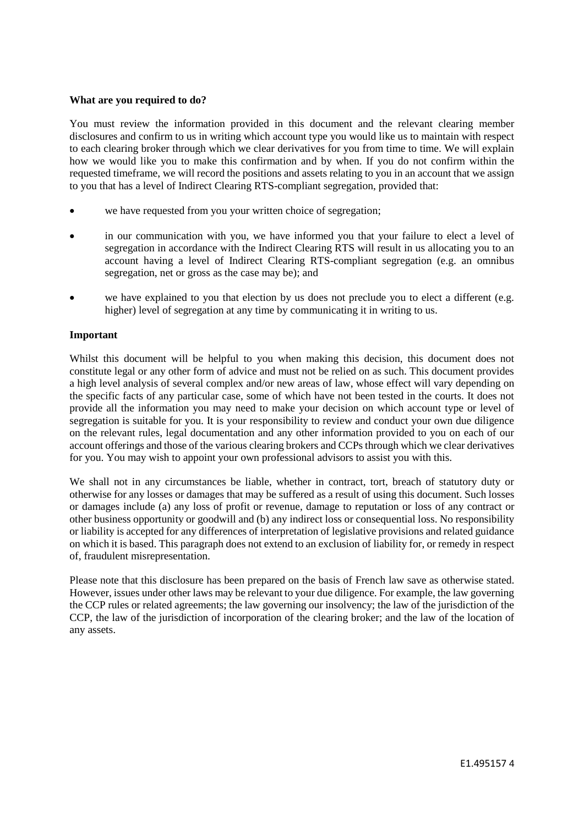#### **What are you required to do?**

You must review the information provided in this document and the relevant clearing member disclosures and confirm to us in writing which account type you would like us to maintain with respect to each clearing broker through which we clear derivatives for you from time to time. We will explain how we would like you to make this confirmation and by when. If you do not confirm within the requested timeframe, we will record the positions and assets relating to you in an account that we assign to you that has a level of Indirect Clearing RTS-compliant segregation, provided that:

- we have requested from you your written choice of segregation;
- in our communication with you, we have informed you that your failure to elect a level of segregation in accordance with the Indirect Clearing RTS will result in us allocating you to an account having a level of Indirect Clearing RTS-compliant segregation (e.g. an omnibus segregation, net or gross as the case may be); and
- we have explained to you that election by us does not preclude you to elect a different (e.g. higher) level of segregation at any time by communicating it in writing to us.

#### **Important**

Whilst this document will be helpful to you when making this decision, this document does not constitute legal or any other form of advice and must not be relied on as such. This document provides a high level analysis of several complex and/or new areas of law, whose effect will vary depending on the specific facts of any particular case, some of which have not been tested in the courts. It does not provide all the information you may need to make your decision on which account type or level of segregation is suitable for you. It is your responsibility to review and conduct your own due diligence on the relevant rules, legal documentation and any other information provided to you on each of our account offerings and those of the various clearing brokers and CCPs through which we clear derivatives for you. You may wish to appoint your own professional advisors to assist you with this.

We shall not in any circumstances be liable, whether in contract, tort, breach of statutory duty or otherwise for any losses or damages that may be suffered as a result of using this document. Such losses or damages include (a) any loss of profit or revenue, damage to reputation or loss of any contract or other business opportunity or goodwill and (b) any indirect loss or consequential loss. No responsibility or liability is accepted for any differences of interpretation of legislative provisions and related guidance on which it is based. This paragraph does not extend to an exclusion of liability for, or remedy in respect of, fraudulent misrepresentation.

Please note that this disclosure has been prepared on the basis of French law save as otherwise stated. However, issues under other laws may be relevant to your due diligence. For example, the law governing the CCP rules or related agreements; the law governing our insolvency; the law of the jurisdiction of the CCP, the law of the jurisdiction of incorporation of the clearing broker; and the law of the location of any assets.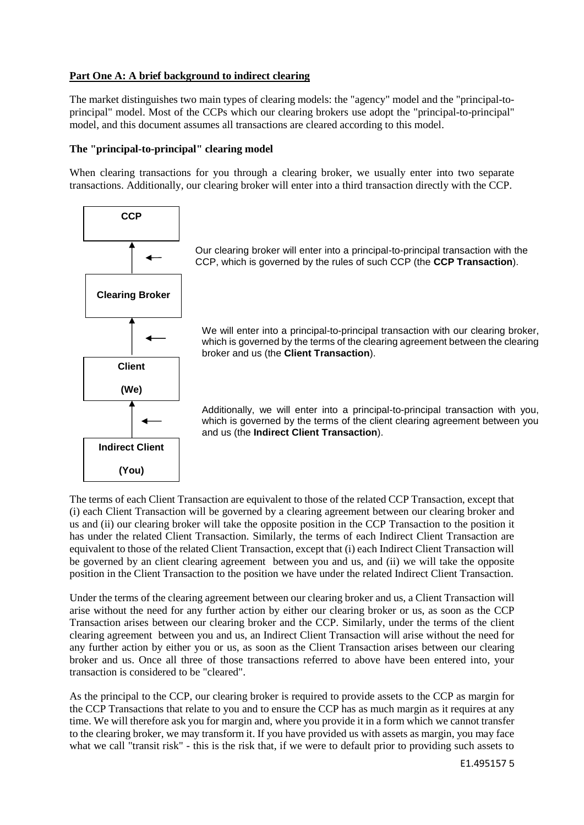# **Part One A: A brief background to indirect clearing**

The market distinguishes two main types of clearing models: the "agency" model and the "principal-toprincipal" model. Most of the CCPs which our clearing brokers use adopt the "principal-to-principal" model, and this document assumes all transactions are cleared according to this model.

# **The "principal-to-principal" clearing model**

When clearing transactions for you through a clearing broker, we usually enter into two separate transactions. Additionally, our clearing broker will enter into a third transaction directly with the CCP.



Our clearing broker will enter into a principal-to-principal transaction with the CCP, which is governed by the rules of such CCP (the **CCP Transaction**).

We will enter into a principal-to-principal transaction with our clearing broker, which is governed by the terms of the clearing agreement between the clearing broker and us (the **Client Transaction**).

Additionally, we will enter into a principal-to-principal transaction with you, which is governed by the terms of the client clearing agreement between you and us (the **Indirect Client Transaction**).

The terms of each Client Transaction are equivalent to those of the related CCP Transaction, except that (i) each Client Transaction will be governed by a clearing agreement between our clearing broker and us and (ii) our clearing broker will take the opposite position in the CCP Transaction to the position it has under the related Client Transaction. Similarly, the terms of each Indirect Client Transaction are equivalent to those of the related Client Transaction, except that (i) each Indirect Client Transaction will be governed by an client clearing agreement between you and us, and (ii) we will take the opposite position in the Client Transaction to the position we have under the related Indirect Client Transaction.

Under the terms of the clearing agreement between our clearing broker and us, a Client Transaction will arise without the need for any further action by either our clearing broker or us, as soon as the CCP Transaction arises between our clearing broker and the CCP. Similarly, under the terms of the client clearing agreement between you and us, an Indirect Client Transaction will arise without the need for any further action by either you or us, as soon as the Client Transaction arises between our clearing broker and us. Once all three of those transactions referred to above have been entered into, your transaction is considered to be "cleared".

As the principal to the CCP, our clearing broker is required to provide assets to the CCP as margin for the CCP Transactions that relate to you and to ensure the CCP has as much margin as it requires at any time. We will therefore ask you for margin and, where you provide it in a form which we cannot transfer to the clearing broker, we may transform it. If you have provided us with assets as margin, you may face what we call "transit risk" - this is the risk that, if we were to default prior to providing such assets to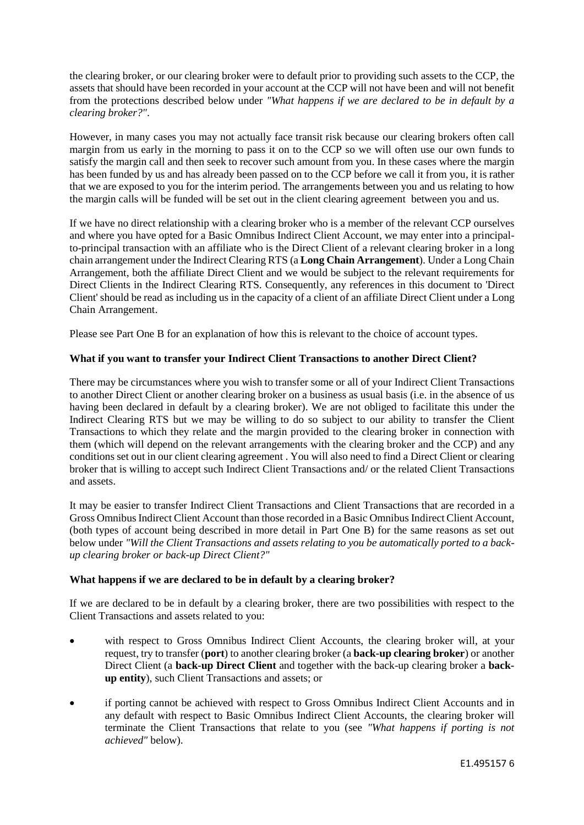the clearing broker, or our clearing broker were to default prior to providing such assets to the CCP, the assets that should have been recorded in your account at the CCP will not have been and will not benefit from the protections described below under *"What happens if we are declared to be in default by a clearing broker?"*.

However, in many cases you may not actually face transit risk because our clearing brokers often call margin from us early in the morning to pass it on to the CCP so we will often use our own funds to satisfy the margin call and then seek to recover such amount from you. In these cases where the margin has been funded by us and has already been passed on to the CCP before we call it from you, it is rather that we are exposed to you for the interim period. The arrangements between you and us relating to how the margin calls will be funded will be set out in the client clearing agreement between you and us.

If we have no direct relationship with a clearing broker who is a member of the relevant CCP ourselves and where you have opted for a Basic Omnibus Indirect Client Account, we may enter into a principalto-principal transaction with an affiliate who is the Direct Client of a relevant clearing broker in a long chain arrangement under the Indirect Clearing RTS (a **Long Chain Arrangement**). Under a Long Chain Arrangement, both the affiliate Direct Client and we would be subject to the relevant requirements for Direct Clients in the Indirect Clearing RTS. Consequently, any references in this document to 'Direct Client' should be read as including us in the capacity of a client of an affiliate Direct Client under a Long Chain Arrangement.

Please see Part One B for an explanation of how this is relevant to the choice of account types.

# **What if you want to transfer your Indirect Client Transactions to another Direct Client?**

There may be circumstances where you wish to transfer some or all of your Indirect Client Transactions to another Direct Client or another clearing broker on a business as usual basis (i.e. in the absence of us having been declared in default by a clearing broker). We are not obliged to facilitate this under the Indirect Clearing RTS but we may be willing to do so subject to our ability to transfer the Client Transactions to which they relate and the margin provided to the clearing broker in connection with them (which will depend on the relevant arrangements with the clearing broker and the CCP) and any conditions set out in our client clearing agreement . You will also need to find a Direct Client or clearing broker that is willing to accept such Indirect Client Transactions and/ or the related Client Transactions and assets.

It may be easier to transfer Indirect Client Transactions and Client Transactions that are recorded in a Gross Omnibus Indirect Client Account than those recorded in a Basic Omnibus Indirect Client Account, (both types of account being described in more detail in Part One B) for the same reasons as set out below under *"Will the Client Transactions and assets relating to you be automatically ported to a backup clearing broker or back-up Direct Client?"*

## **What happens if we are declared to be in default by a clearing broker?**

If we are declared to be in default by a clearing broker, there are two possibilities with respect to the Client Transactions and assets related to you:

- with respect to Gross Omnibus Indirect Client Accounts, the clearing broker will, at your request, try to transfer (**port**) to another clearing broker (a **back-up clearing broker**) or another Direct Client (a **back-up Direct Client** and together with the back-up clearing broker a **backup entity**), such Client Transactions and assets; or
- if porting cannot be achieved with respect to Gross Omnibus Indirect Client Accounts and in any default with respect to Basic Omnibus Indirect Client Accounts, the clearing broker will terminate the Client Transactions that relate to you (see *"What happens if porting is not achieved"* below).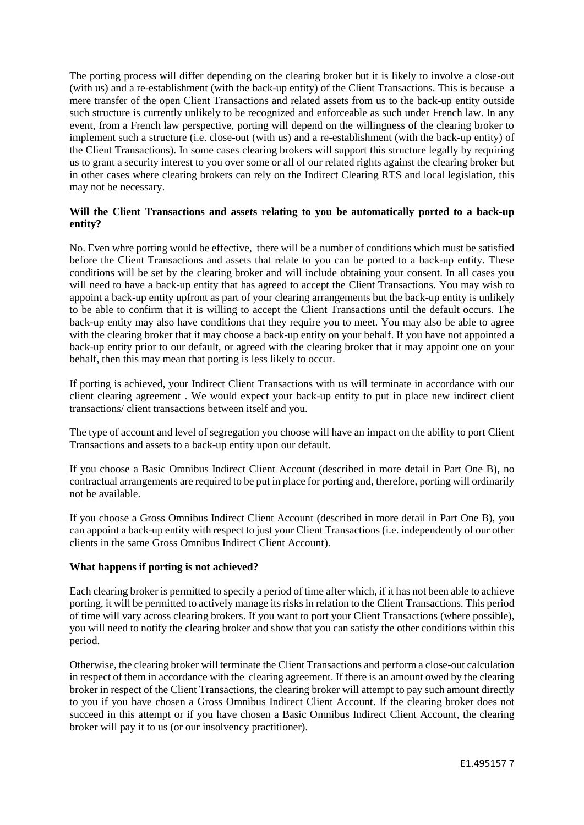The porting process will differ depending on the clearing broker but it is likely to involve a close-out (with us) and a re-establishment (with the back-up entity) of the Client Transactions. This is because a mere transfer of the open Client Transactions and related assets from us to the back-up entity outside such structure is currently unlikely to be recognized and enforceable as such under French law. In any event, from a French law perspective, porting will depend on the willingness of the clearing broker to implement such a structure (i.e. close-out (with us) and a re-establishment (with the back-up entity) of the Client Transactions). In some cases clearing brokers will support this structure legally by requiring us to grant a security interest to you over some or all of our related rights against the clearing broker but in other cases where clearing brokers can rely on the Indirect Clearing RTS and local legislation, this may not be necessary.

# **Will the Client Transactions and assets relating to you be automatically ported to a back-up entity?**

No. Even whre porting would be effective, there will be a number of conditions which must be satisfied before the Client Transactions and assets that relate to you can be ported to a back-up entity. These conditions will be set by the clearing broker and will include obtaining your consent. In all cases you will need to have a back-up entity that has agreed to accept the Client Transactions. You may wish to appoint a back-up entity upfront as part of your clearing arrangements but the back-up entity is unlikely to be able to confirm that it is willing to accept the Client Transactions until the default occurs. The back-up entity may also have conditions that they require you to meet. You may also be able to agree with the clearing broker that it may choose a back-up entity on your behalf. If you have not appointed a back-up entity prior to our default, or agreed with the clearing broker that it may appoint one on your behalf, then this may mean that porting is less likely to occur.

If porting is achieved, your Indirect Client Transactions with us will terminate in accordance with our client clearing agreement . We would expect your back-up entity to put in place new indirect client transactions/ client transactions between itself and you.

The type of account and level of segregation you choose will have an impact on the ability to port Client Transactions and assets to a back-up entity upon our default.

If you choose a Basic Omnibus Indirect Client Account (described in more detail in Part One B), no contractual arrangements are required to be put in place for porting and, therefore, porting will ordinarily not be available.

If you choose a Gross Omnibus Indirect Client Account (described in more detail in Part One B), you can appoint a back-up entity with respect to just your Client Transactions (i.e. independently of our other clients in the same Gross Omnibus Indirect Client Account).

## **What happens if porting is not achieved?**

Each clearing broker is permitted to specify a period of time after which, if it has not been able to achieve porting, it will be permitted to actively manage its risks in relation to the Client Transactions. This period of time will vary across clearing brokers. If you want to port your Client Transactions (where possible), you will need to notify the clearing broker and show that you can satisfy the other conditions within this period.

Otherwise, the clearing broker will terminate the Client Transactions and perform a close-out calculation in respect of them in accordance with the clearing agreement. If there is an amount owed by the clearing broker in respect of the Client Transactions, the clearing broker will attempt to pay such amount directly to you if you have chosen a Gross Omnibus Indirect Client Account. If the clearing broker does not succeed in this attempt or if you have chosen a Basic Omnibus Indirect Client Account, the clearing broker will pay it to us (or our insolvency practitioner).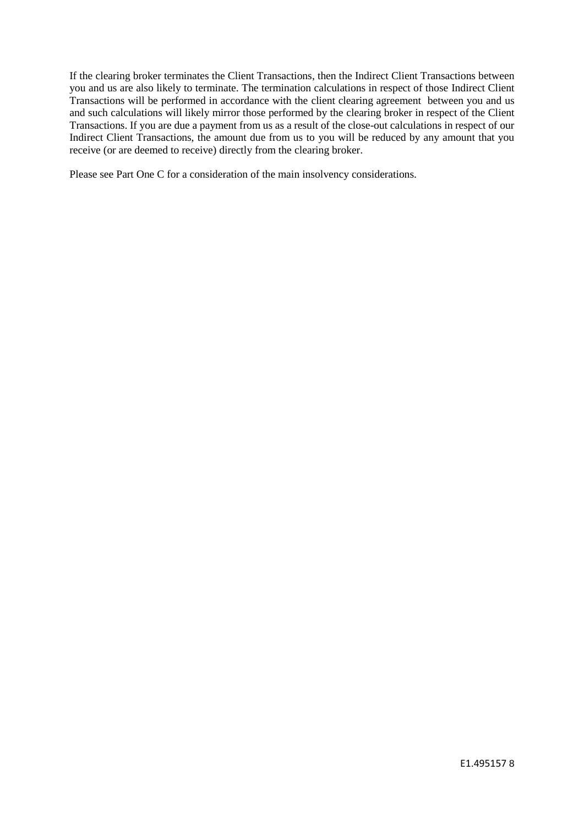If the clearing broker terminates the Client Transactions, then the Indirect Client Transactions between you and us are also likely to terminate. The termination calculations in respect of those Indirect Client Transactions will be performed in accordance with the client clearing agreement between you and us and such calculations will likely mirror those performed by the clearing broker in respect of the Client Transactions. If you are due a payment from us as a result of the close-out calculations in respect of our Indirect Client Transactions, the amount due from us to you will be reduced by any amount that you receive (or are deemed to receive) directly from the clearing broker.

Please see Part One C for a consideration of the main insolvency considerations.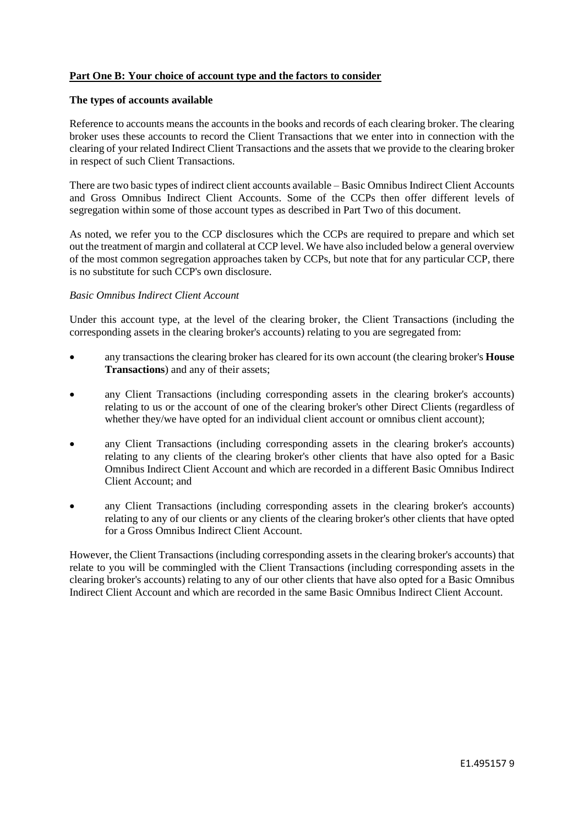# **Part One B: Your choice of account type and the factors to consider**

#### **The types of accounts available**

Reference to accounts means the accounts in the books and records of each clearing broker. The clearing broker uses these accounts to record the Client Transactions that we enter into in connection with the clearing of your related Indirect Client Transactions and the assets that we provide to the clearing broker in respect of such Client Transactions.

There are two basic types of indirect client accounts available – Basic Omnibus Indirect Client Accounts and Gross Omnibus Indirect Client Accounts. Some of the CCPs then offer different levels of segregation within some of those account types as described in Part Two of this document.

As noted, we refer you to the CCP disclosures which the CCPs are required to prepare and which set out the treatment of margin and collateral at CCP level. We have also included below a general overview of the most common segregation approaches taken by CCPs, but note that for any particular CCP, there is no substitute for such CCP's own disclosure.

#### *Basic Omnibus Indirect Client Account*

Under this account type, at the level of the clearing broker, the Client Transactions (including the corresponding assets in the clearing broker's accounts) relating to you are segregated from:

- any transactions the clearing broker has cleared for its own account (the clearing broker's **House Transactions**) and any of their assets;
- any Client Transactions (including corresponding assets in the clearing broker's accounts) relating to us or the account of one of the clearing broker's other Direct Clients (regardless of whether they/we have opted for an individual client account or omnibus client account);
- any Client Transactions (including corresponding assets in the clearing broker's accounts) relating to any clients of the clearing broker's other clients that have also opted for a Basic Omnibus Indirect Client Account and which are recorded in a different Basic Omnibus Indirect Client Account; and
- any Client Transactions (including corresponding assets in the clearing broker's accounts) relating to any of our clients or any clients of the clearing broker's other clients that have opted for a Gross Omnibus Indirect Client Account.

However, the Client Transactions (including corresponding assets in the clearing broker's accounts) that relate to you will be commingled with the Client Transactions (including corresponding assets in the clearing broker's accounts) relating to any of our other clients that have also opted for a Basic Omnibus Indirect Client Account and which are recorded in the same Basic Omnibus Indirect Client Account.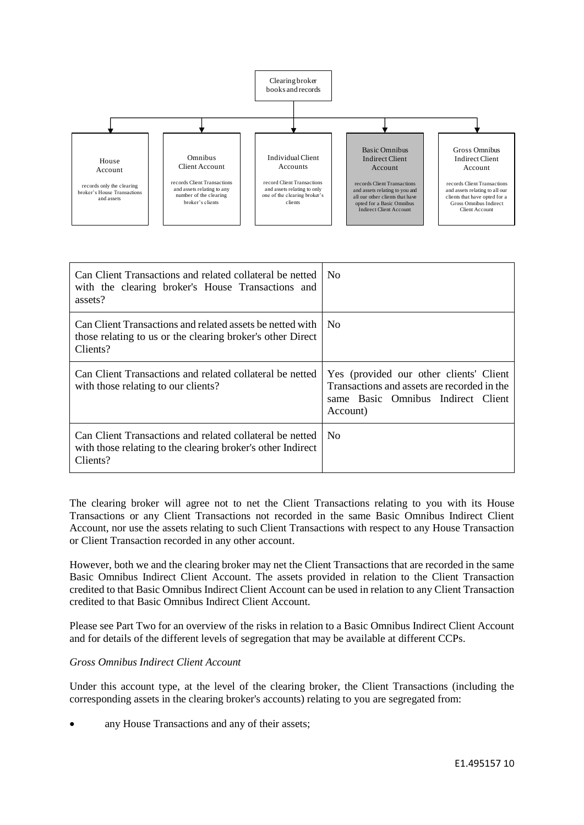

| Can Client Transactions and related collateral be netted<br>with the clearing broker's House Transactions and<br>assets?            | N <sub>0</sub>                                                                                                                           |
|-------------------------------------------------------------------------------------------------------------------------------------|------------------------------------------------------------------------------------------------------------------------------------------|
| Can Client Transactions and related assets be netted with<br>those relating to us or the clearing broker's other Direct<br>Clients? | No.                                                                                                                                      |
| Can Client Transactions and related collateral be netted<br>with those relating to our clients?                                     | Yes (provided our other clients' Client<br>Transactions and assets are recorded in the<br>same Basic Omnibus Indirect Client<br>Account) |
| Can Client Transactions and related collateral be netted<br>with those relating to the clearing broker's other Indirect<br>Clients? | N <sub>0</sub>                                                                                                                           |

The clearing broker will agree not to net the Client Transactions relating to you with its House Transactions or any Client Transactions not recorded in the same Basic Omnibus Indirect Client Account, nor use the assets relating to such Client Transactions with respect to any House Transaction or Client Transaction recorded in any other account.

However, both we and the clearing broker may net the Client Transactions that are recorded in the same Basic Omnibus Indirect Client Account. The assets provided in relation to the Client Transaction credited to that Basic Omnibus Indirect Client Account can be used in relation to any Client Transaction credited to that Basic Omnibus Indirect Client Account.

Please see Part Two for an overview of the risks in relation to a Basic Omnibus Indirect Client Account and for details of the different levels of segregation that may be available at different CCPs.

## *Gross Omnibus Indirect Client Account*

Under this account type, at the level of the clearing broker, the Client Transactions (including the corresponding assets in the clearing broker's accounts) relating to you are segregated from:

• any House Transactions and any of their assets;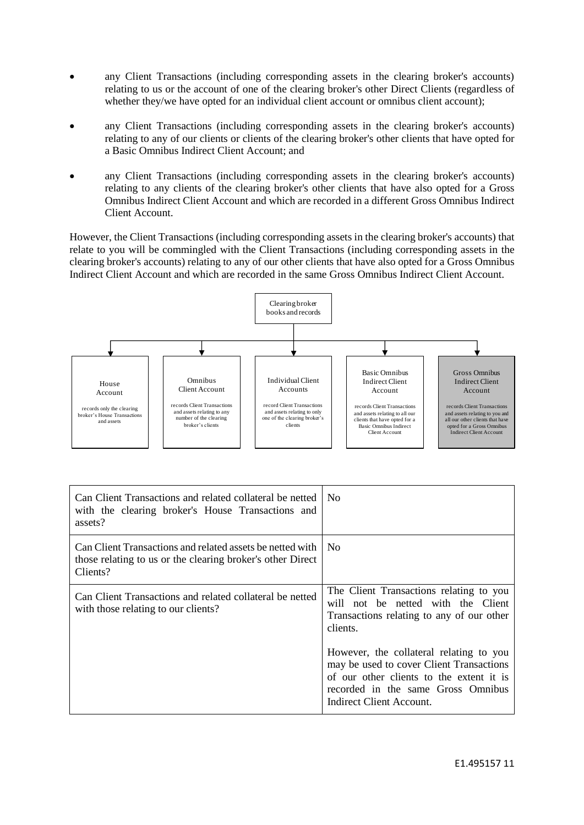- any Client Transactions (including corresponding assets in the clearing broker's accounts) relating to us or the account of one of the clearing broker's other Direct Clients (regardless of whether they/we have opted for an individual client account or omnibus client account);
- any Client Transactions (including corresponding assets in the clearing broker's accounts) relating to any of our clients or clients of the clearing broker's other clients that have opted for a Basic Omnibus Indirect Client Account; and
- any Client Transactions (including corresponding assets in the clearing broker's accounts) relating to any clients of the clearing broker's other clients that have also opted for a Gross Omnibus Indirect Client Account and which are recorded in a different Gross Omnibus Indirect Client Account.

However, the Client Transactions (including corresponding assets in the clearing broker's accounts) that relate to you will be commingled with the Client Transactions (including corresponding assets in the clearing broker's accounts) relating to any of our other clients that have also opted for a Gross Omnibus Indirect Client Account and which are recorded in the same Gross Omnibus Indirect Client Account.



| Can Client Transactions and related collateral be netted<br>with the clearing broker's House Transactions and<br>assets?            | N <sub>0</sub>                                                                                                                                                                                    |
|-------------------------------------------------------------------------------------------------------------------------------------|---------------------------------------------------------------------------------------------------------------------------------------------------------------------------------------------------|
| Can Client Transactions and related assets be netted with<br>those relating to us or the clearing broker's other Direct<br>Clients? | N <sub>0</sub>                                                                                                                                                                                    |
| Can Client Transactions and related collateral be netted<br>with those relating to our clients?                                     | The Client Transactions relating to you<br>will not be netted with the Client<br>Transactions relating to any of our other<br>clients.                                                            |
|                                                                                                                                     | However, the collateral relating to you<br>may be used to cover Client Transactions<br>of our other clients to the extent it is<br>recorded in the same Gross Omnibus<br>Indirect Client Account. |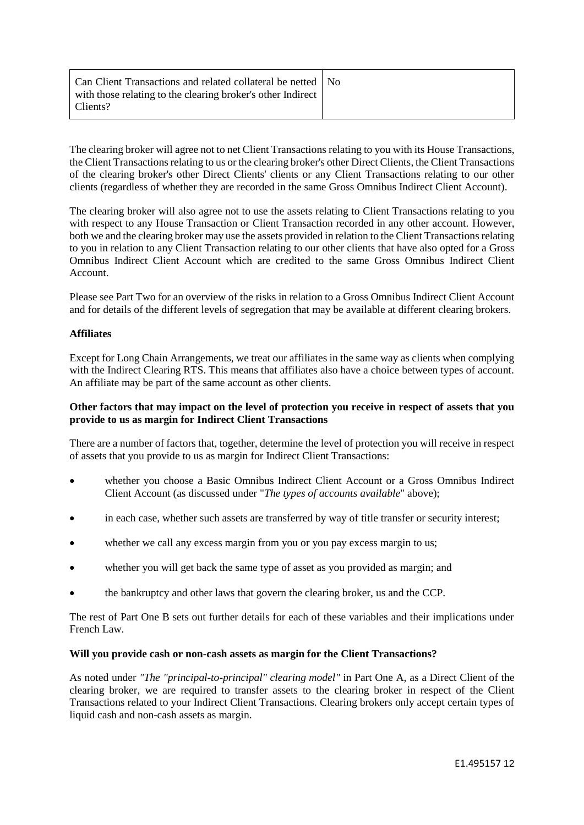| Can Client Transactions and related collateral be netted   No<br>with those relating to the clearing broker's other Indirect |  |
|------------------------------------------------------------------------------------------------------------------------------|--|
| Clients?                                                                                                                     |  |

The clearing broker will agree not to net Client Transactions relating to you with its House Transactions, the Client Transactions relating to us or the clearing broker's other Direct Clients, the Client Transactions of the clearing broker's other Direct Clients' clients or any Client Transactions relating to our other clients (regardless of whether they are recorded in the same Gross Omnibus Indirect Client Account).

The clearing broker will also agree not to use the assets relating to Client Transactions relating to you with respect to any House Transaction or Client Transaction recorded in any other account. However, both we and the clearing broker may use the assets provided in relation to the Client Transactions relating to you in relation to any Client Transaction relating to our other clients that have also opted for a Gross Omnibus Indirect Client Account which are credited to the same Gross Omnibus Indirect Client Account.

Please see Part Two for an overview of the risks in relation to a Gross Omnibus Indirect Client Account and for details of the different levels of segregation that may be available at different clearing brokers.

## **Affiliates**

Except for Long Chain Arrangements, we treat our affiliates in the same way as clients when complying with the Indirect Clearing RTS. This means that affiliates also have a choice between types of account. An affiliate may be part of the same account as other clients.

## **Other factors that may impact on the level of protection you receive in respect of assets that you provide to us as margin for Indirect Client Transactions**

There are a number of factors that, together, determine the level of protection you will receive in respect of assets that you provide to us as margin for Indirect Client Transactions:

- whether you choose a Basic Omnibus Indirect Client Account or a Gross Omnibus Indirect Client Account (as discussed under "*The types of accounts available*" above);
- in each case, whether such assets are transferred by way of title transfer or security interest;
- whether we call any excess margin from you or you pay excess margin to us;
- whether you will get back the same type of asset as you provided as margin; and
- the bankruptcy and other laws that govern the clearing broker, us and the CCP.

The rest of Part One B sets out further details for each of these variables and their implications under French Law.

#### **Will you provide cash or non-cash assets as margin for the Client Transactions?**

As noted under *"The "principal-to-principal" clearing model"* in Part One A, as a Direct Client of the clearing broker, we are required to transfer assets to the clearing broker in respect of the Client Transactions related to your Indirect Client Transactions. Clearing brokers only accept certain types of liquid cash and non-cash assets as margin.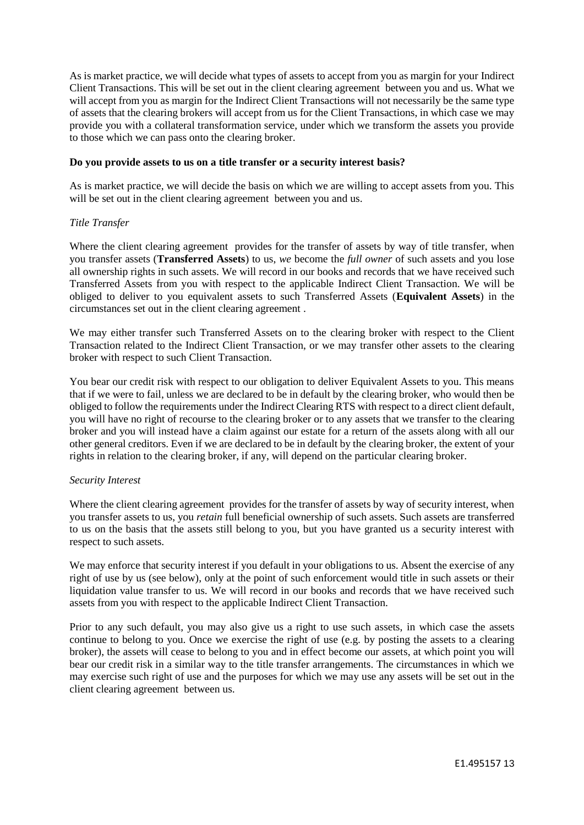As is market practice, we will decide what types of assets to accept from you as margin for your Indirect Client Transactions. This will be set out in the client clearing agreement between you and us. What we will accept from you as margin for the Indirect Client Transactions will not necessarily be the same type of assets that the clearing brokers will accept from us for the Client Transactions, in which case we may provide you with a collateral transformation service, under which we transform the assets you provide to those which we can pass onto the clearing broker.

#### **Do you provide assets to us on a title transfer or a security interest basis?**

As is market practice, we will decide the basis on which we are willing to accept assets from you. This will be set out in the client clearing agreement between you and us.

#### *Title Transfer*

Where the client clearing agreement provides for the transfer of assets by way of title transfer, when you transfer assets (**Transferred Assets**) to us, *we* become the *full owner* of such assets and you lose all ownership rights in such assets. We will record in our books and records that we have received such Transferred Assets from you with respect to the applicable Indirect Client Transaction. We will be obliged to deliver to you equivalent assets to such Transferred Assets (**Equivalent Assets**) in the circumstances set out in the client clearing agreement .

We may either transfer such Transferred Assets on to the clearing broker with respect to the Client Transaction related to the Indirect Client Transaction, or we may transfer other assets to the clearing broker with respect to such Client Transaction.

You bear our credit risk with respect to our obligation to deliver Equivalent Assets to you. This means that if we were to fail, unless we are declared to be in default by the clearing broker, who would then be obliged to follow the requirements under the Indirect Clearing RTS with respect to a direct client default, you will have no right of recourse to the clearing broker or to any assets that we transfer to the clearing broker and you will instead have a claim against our estate for a return of the assets along with all our other general creditors. Even if we are declared to be in default by the clearing broker, the extent of your rights in relation to the clearing broker, if any, will depend on the particular clearing broker.

## *Security Interest*

Where the client clearing agreement provides for the transfer of assets by way of security interest, when you transfer assets to us, you *retain* full beneficial ownership of such assets. Such assets are transferred to us on the basis that the assets still belong to you, but you have granted us a security interest with respect to such assets.

We may enforce that security interest if you default in your obligations to us. Absent the exercise of any right of use by us (see below), only at the point of such enforcement would title in such assets or their liquidation value transfer to us. We will record in our books and records that we have received such assets from you with respect to the applicable Indirect Client Transaction.

Prior to any such default, you may also give us a right to use such assets, in which case the assets continue to belong to you. Once we exercise the right of use (e.g. by posting the assets to a clearing broker), the assets will cease to belong to you and in effect become our assets, at which point you will bear our credit risk in a similar way to the title transfer arrangements. The circumstances in which we may exercise such right of use and the purposes for which we may use any assets will be set out in the client clearing agreement between us.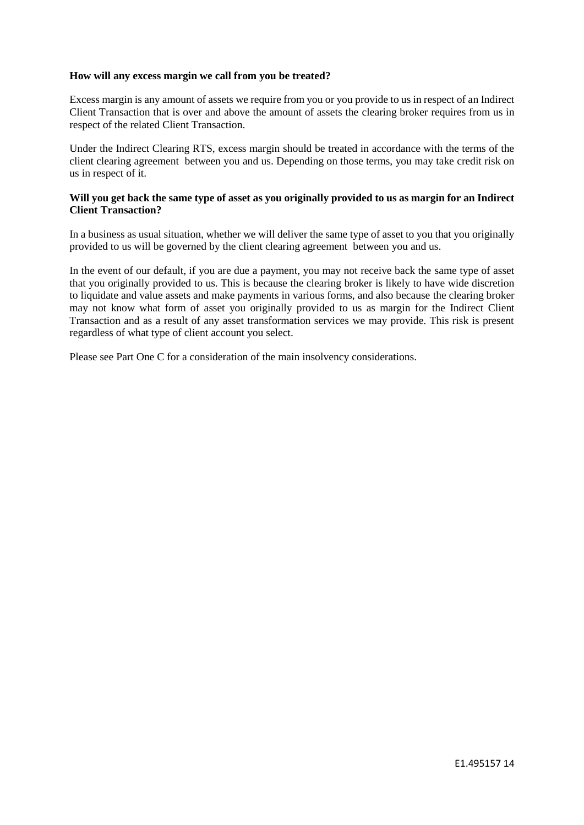#### **How will any excess margin we call from you be treated?**

Excess margin is any amount of assets we require from you or you provide to us in respect of an Indirect Client Transaction that is over and above the amount of assets the clearing broker requires from us in respect of the related Client Transaction.

Under the Indirect Clearing RTS, excess margin should be treated in accordance with the terms of the client clearing agreement between you and us. Depending on those terms, you may take credit risk on us in respect of it.

#### **Will you get back the same type of asset as you originally provided to us as margin for an Indirect Client Transaction?**

In a business as usual situation, whether we will deliver the same type of asset to you that you originally provided to us will be governed by the client clearing agreement between you and us.

In the event of our default, if you are due a payment, you may not receive back the same type of asset that you originally provided to us. This is because the clearing broker is likely to have wide discretion to liquidate and value assets and make payments in various forms, and also because the clearing broker may not know what form of asset you originally provided to us as margin for the Indirect Client Transaction and as a result of any asset transformation services we may provide. This risk is present regardless of what type of client account you select.

Please see Part One C for a consideration of the main insolvency considerations.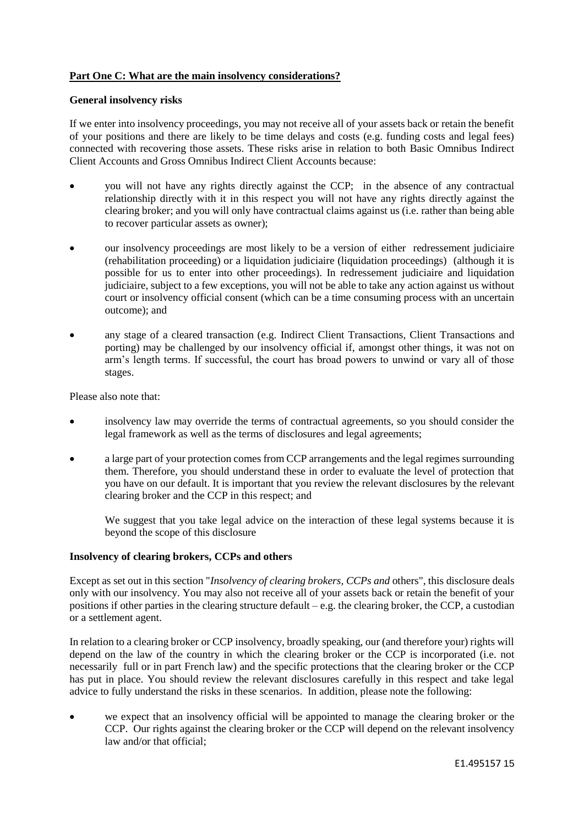# **Part One C: What are the main insolvency considerations?**

#### **General insolvency risks**

If we enter into insolvency proceedings, you may not receive all of your assets back or retain the benefit of your positions and there are likely to be time delays and costs (e.g. funding costs and legal fees) connected with recovering those assets. These risks arise in relation to both Basic Omnibus Indirect Client Accounts and Gross Omnibus Indirect Client Accounts because:

- you will not have any rights directly against the CCP; in the absence of any contractual relationship directly with it in this respect you will not have any rights directly against the clearing broker; and you will only have contractual claims against us (i.e. rather than being able to recover particular assets as owner);
- our insolvency proceedings are most likely to be a version of either redressement judiciaire (rehabilitation proceeding) or a liquidation judiciaire (liquidation proceedings) (although it is possible for us to enter into other proceedings). In redressement judiciaire and liquidation judiciaire, subject to a few exceptions, you will not be able to take any action against us without court or insolvency official consent (which can be a time consuming process with an uncertain outcome); and
- any stage of a cleared transaction (e.g. Indirect Client Transactions, Client Transactions and porting) may be challenged by our insolvency official if, amongst other things, it was not on arm's length terms. If successful, the court has broad powers to unwind or vary all of those stages.

Please also note that:

- insolvency law may override the terms of contractual agreements, so you should consider the legal framework as well as the terms of disclosures and legal agreements;
- a large part of your protection comes from CCP arrangements and the legal regimes surrounding them. Therefore, you should understand these in order to evaluate the level of protection that you have on our default. It is important that you review the relevant disclosures by the relevant clearing broker and the CCP in this respect; and

We suggest that you take legal advice on the interaction of these legal systems because it is beyond the scope of this disclosure

## **Insolvency of clearing brokers, CCPs and others**

Except as set out in this section "*Insolvency of clearing brokers, CCPs and* others", this disclosure deals only with our insolvency. You may also not receive all of your assets back or retain the benefit of your positions if other parties in the clearing structure default – e.g. the clearing broker, the CCP, a custodian or a settlement agent.

In relation to a clearing broker or CCP insolvency, broadly speaking, our (and therefore your) rights will depend on the law of the country in which the clearing broker or the CCP is incorporated (i.e. not necessarily full or in part French law) and the specific protections that the clearing broker or the CCP has put in place. You should review the relevant disclosures carefully in this respect and take legal advice to fully understand the risks in these scenarios. In addition, please note the following:

 we expect that an insolvency official will be appointed to manage the clearing broker or the CCP. Our rights against the clearing broker or the CCP will depend on the relevant insolvency law and/or that official;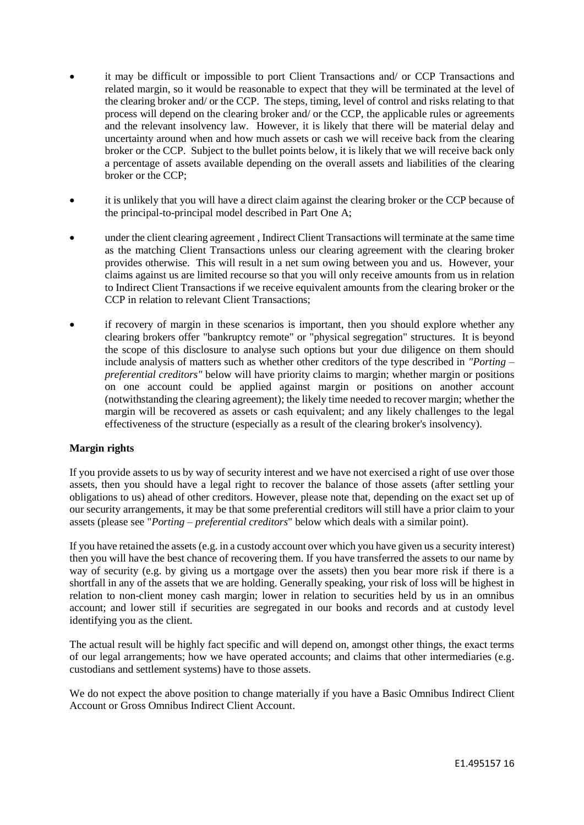- it may be difficult or impossible to port Client Transactions and/ or CCP Transactions and related margin, so it would be reasonable to expect that they will be terminated at the level of the clearing broker and/ or the CCP. The steps, timing, level of control and risks relating to that process will depend on the clearing broker and/ or the CCP, the applicable rules or agreements and the relevant insolvency law. However, it is likely that there will be material delay and uncertainty around when and how much assets or cash we will receive back from the clearing broker or the CCP. Subject to the bullet points below, it is likely that we will receive back only a percentage of assets available depending on the overall assets and liabilities of the clearing broker or the CCP;
- it is unlikely that you will have a direct claim against the clearing broker or the CCP because of the principal-to-principal model described in Part One A;
- under the client clearing agreement , Indirect Client Transactions will terminate at the same time as the matching Client Transactions unless our clearing agreement with the clearing broker provides otherwise. This will result in a net sum owing between you and us. However, your claims against us are limited recourse so that you will only receive amounts from us in relation to Indirect Client Transactions if we receive equivalent amounts from the clearing broker or the CCP in relation to relevant Client Transactions;
- if recovery of margin in these scenarios is important, then you should explore whether any clearing brokers offer "bankruptcy remote" or "physical segregation" structures. It is beyond the scope of this disclosure to analyse such options but your due diligence on them should include analysis of matters such as whether other creditors of the type described in *"Porting – preferential creditors"* below will have priority claims to margin; whether margin or positions on one account could be applied against margin or positions on another account (notwithstanding the clearing agreement); the likely time needed to recover margin; whether the margin will be recovered as assets or cash equivalent; and any likely challenges to the legal effectiveness of the structure (especially as a result of the clearing broker's insolvency).

# **Margin rights**

If you provide assets to us by way of security interest and we have not exercised a right of use over those assets, then you should have a legal right to recover the balance of those assets (after settling your obligations to us) ahead of other creditors. However, please note that, depending on the exact set up of our security arrangements, it may be that some preferential creditors will still have a prior claim to your assets (please see "*Porting – preferential creditors*" below which deals with a similar point).

If you have retained the assets (e.g. in a custody account over which you have given us a security interest) then you will have the best chance of recovering them. If you have transferred the assets to our name by way of security (e.g. by giving us a mortgage over the assets) then you bear more risk if there is a shortfall in any of the assets that we are holding. Generally speaking, your risk of loss will be highest in relation to non-client money cash margin; lower in relation to securities held by us in an omnibus account; and lower still if securities are segregated in our books and records and at custody level identifying you as the client.

The actual result will be highly fact specific and will depend on, amongst other things, the exact terms of our legal arrangements; how we have operated accounts; and claims that other intermediaries (e.g. custodians and settlement systems) have to those assets.

We do not expect the above position to change materially if you have a Basic Omnibus Indirect Client Account or Gross Omnibus Indirect Client Account.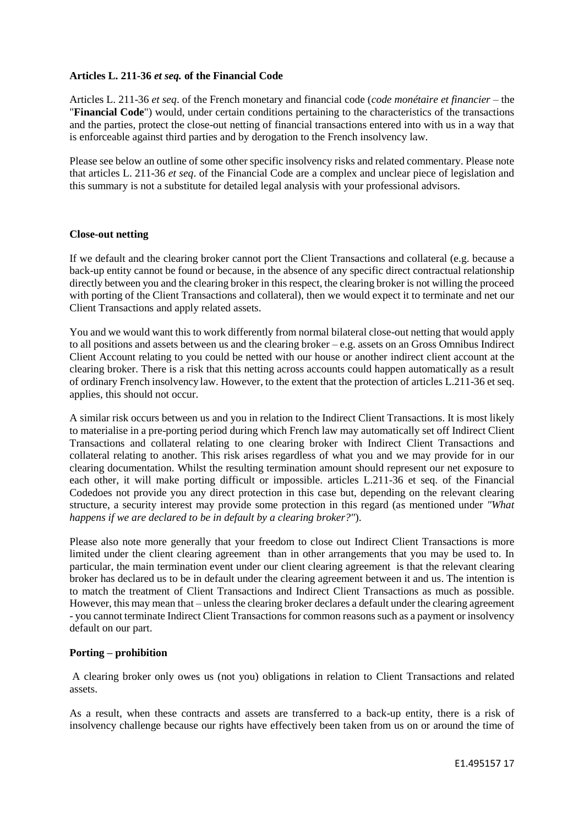# **Articles L. 211-36** *et seq.* **of the Financial Code**

Articles L. 211-36 *et seq*. of the French monetary and financial code (*code monétaire et financier* – the "**Financial Code**") would, under certain conditions pertaining to the characteristics of the transactions and the parties, protect the close-out netting of financial transactions entered into with us in a way that is enforceable against third parties and by derogation to the French insolvency law.

Please see below an outline of some other specific insolvency risks and related commentary. Please note that articles L. 211-36 *et seq*. of the Financial Code are a complex and unclear piece of legislation and this summary is not a substitute for detailed legal analysis with your professional advisors.

## **Close-out netting**

If we default and the clearing broker cannot port the Client Transactions and collateral (e.g. because a back-up entity cannot be found or because, in the absence of any specific direct contractual relationship directly between you and the clearing broker in this respect, the clearing broker is not willing the proceed with porting of the Client Transactions and collateral), then we would expect it to terminate and net our Client Transactions and apply related assets.

You and we would want this to work differently from normal bilateral close-out netting that would apply to all positions and assets between us and the clearing broker – e.g. assets on an Gross Omnibus Indirect Client Account relating to you could be netted with our house or another indirect client account at the clearing broker. There is a risk that this netting across accounts could happen automatically as a result of ordinary French insolvency law. However, to the extent that the protection of articles L.211-36 et seq. applies, this should not occur.

A similar risk occurs between us and you in relation to the Indirect Client Transactions. It is most likely to materialise in a pre-porting period during which French law may automatically set off Indirect Client Transactions and collateral relating to one clearing broker with Indirect Client Transactions and collateral relating to another. This risk arises regardless of what you and we may provide for in our clearing documentation. Whilst the resulting termination amount should represent our net exposure to each other, it will make porting difficult or impossible. articles L.211-36 et seq. of the Financial Codedoes not provide you any direct protection in this case but, depending on the relevant clearing structure, a security interest may provide some protection in this regard (as mentioned under *"What happens if we are declared to be in default by a clearing broker?"*).

Please also note more generally that your freedom to close out Indirect Client Transactions is more limited under the client clearing agreement than in other arrangements that you may be used to. In particular, the main termination event under our client clearing agreement is that the relevant clearing broker has declared us to be in default under the clearing agreement between it and us. The intention is to match the treatment of Client Transactions and Indirect Client Transactions as much as possible. However, this may mean that – unless the clearing broker declares a default under the clearing agreement - you cannot terminate Indirect Client Transactions for common reasons such as a payment or insolvency default on our part.

# **Porting – prohibition**

A clearing broker only owes us (not you) obligations in relation to Client Transactions and related assets.

As a result, when these contracts and assets are transferred to a back-up entity, there is a risk of insolvency challenge because our rights have effectively been taken from us on or around the time of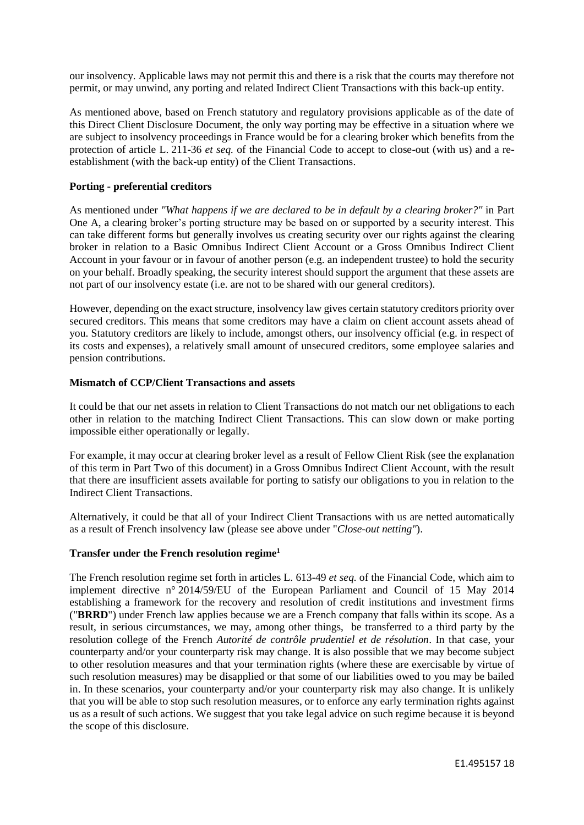our insolvency. Applicable laws may not permit this and there is a risk that the courts may therefore not permit, or may unwind, any porting and related Indirect Client Transactions with this back-up entity.

As mentioned above, based on French statutory and regulatory provisions applicable as of the date of this Direct Client Disclosure Document, the only way porting may be effective in a situation where we are subject to insolvency proceedings in France would be for a clearing broker which benefits from the protection of article L. 211-36 *et seq.* of the Financial Code to accept to close-out (with us) and a reestablishment (with the back-up entity) of the Client Transactions.

# **Porting - preferential creditors**

As mentioned under *"What happens if we are declared to be in default by a clearing broker?"* in Part One A, a clearing broker's porting structure may be based on or supported by a security interest. This can take different forms but generally involves us creating security over our rights against the clearing broker in relation to a Basic Omnibus Indirect Client Account or a Gross Omnibus Indirect Client Account in your favour or in favour of another person (e.g. an independent trustee) to hold the security on your behalf. Broadly speaking, the security interest should support the argument that these assets are not part of our insolvency estate (i.e. are not to be shared with our general creditors).

However, depending on the exact structure, insolvency law gives certain statutory creditors priority over secured creditors. This means that some creditors may have a claim on client account assets ahead of you. Statutory creditors are likely to include, amongst others, our insolvency official (e.g. in respect of its costs and expenses), a relatively small amount of unsecured creditors, some employee salaries and pension contributions.

## **Mismatch of CCP/Client Transactions and assets**

It could be that our net assets in relation to Client Transactions do not match our net obligations to each other in relation to the matching Indirect Client Transactions. This can slow down or make porting impossible either operationally or legally.

For example, it may occur at clearing broker level as a result of Fellow Client Risk (see the explanation of this term in Part Two of this document) in a Gross Omnibus Indirect Client Account, with the result that there are insufficient assets available for porting to satisfy our obligations to you in relation to the Indirect Client Transactions.

Alternatively, it could be that all of your Indirect Client Transactions with us are netted automatically as a result of French insolvency law (please see above under "*Close-out netting"*).

## **Transfer under the French resolution regime<sup>1</sup>**

The French resolution regime set forth in articles L. 613-49 *et seq.* of the Financial Code, which aim to implement directive n° 2014/59/EU of the European Parliament and Council of 15 May 2014 establishing a framework for the recovery and resolution of credit institutions and investment firms ("**BRRD**") under French law applies because we are a French company that falls within its scope. As a result, in serious circumstances, we may, among other things, be transferred to a third party by the resolution college of the French *Autorité de contrôle prudentiel et de résolution*. In that case, your counterparty and/or your counterparty risk may change. It is also possible that we may become subject to other resolution measures and that your termination rights (where these are exercisable by virtue of such resolution measures) may be disapplied or that some of our liabilities owed to you may be bailed in. In these scenarios, your counterparty and/or your counterparty risk may also change. It is unlikely that you will be able to stop such resolution measures, or to enforce any early termination rights against us as a result of such actions. We suggest that you take legal advice on such regime because it is beyond the scope of this disclosure.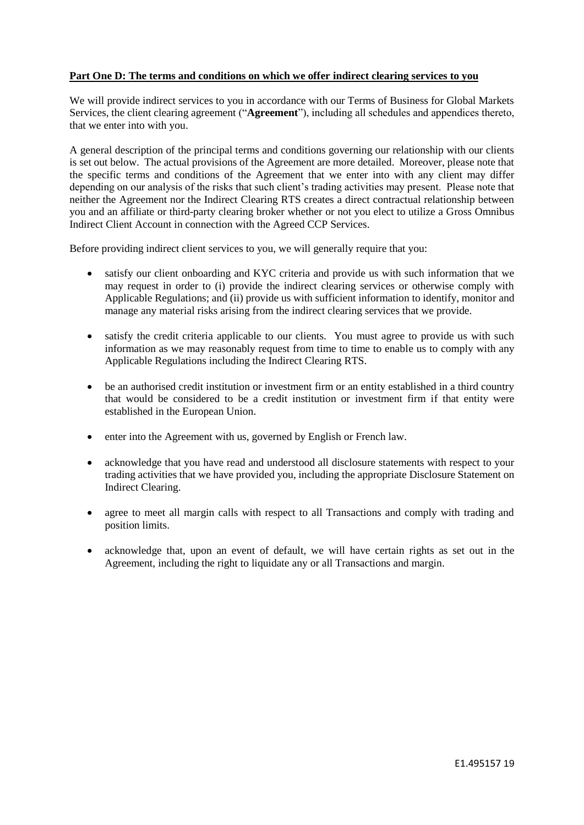## **Part One D: The terms and conditions on which we offer indirect clearing services to you**

We will provide indirect services to you in accordance with our Terms of Business for Global Markets Services, the client clearing agreement ("**Agreement**"), including all schedules and appendices thereto, that we enter into with you.

A general description of the principal terms and conditions governing our relationship with our clients is set out below. The actual provisions of the Agreement are more detailed. Moreover, please note that the specific terms and conditions of the Agreement that we enter into with any client may differ depending on our analysis of the risks that such client's trading activities may present. Please note that neither the Agreement nor the Indirect Clearing RTS creates a direct contractual relationship between you and an affiliate or third-party clearing broker whether or not you elect to utilize a Gross Omnibus Indirect Client Account in connection with the Agreed CCP Services.

Before providing indirect client services to you, we will generally require that you:

- satisfy our client onboarding and KYC criteria and provide us with such information that we may request in order to (i) provide the indirect clearing services or otherwise comply with Applicable Regulations; and (ii) provide us with sufficient information to identify, monitor and manage any material risks arising from the indirect clearing services that we provide.
- satisfy the credit criteria applicable to our clients. You must agree to provide us with such information as we may reasonably request from time to time to enable us to comply with any Applicable Regulations including the Indirect Clearing RTS.
- be an authorised credit institution or investment firm or an entity established in a third country that would be considered to be a credit institution or investment firm if that entity were established in the European Union.
- enter into the Agreement with us, governed by English or French law.
- acknowledge that you have read and understood all disclosure statements with respect to your trading activities that we have provided you, including the appropriate Disclosure Statement on Indirect Clearing.
- agree to meet all margin calls with respect to all Transactions and comply with trading and position limits.
- acknowledge that, upon an event of default, we will have certain rights as set out in the Agreement, including the right to liquidate any or all Transactions and margin.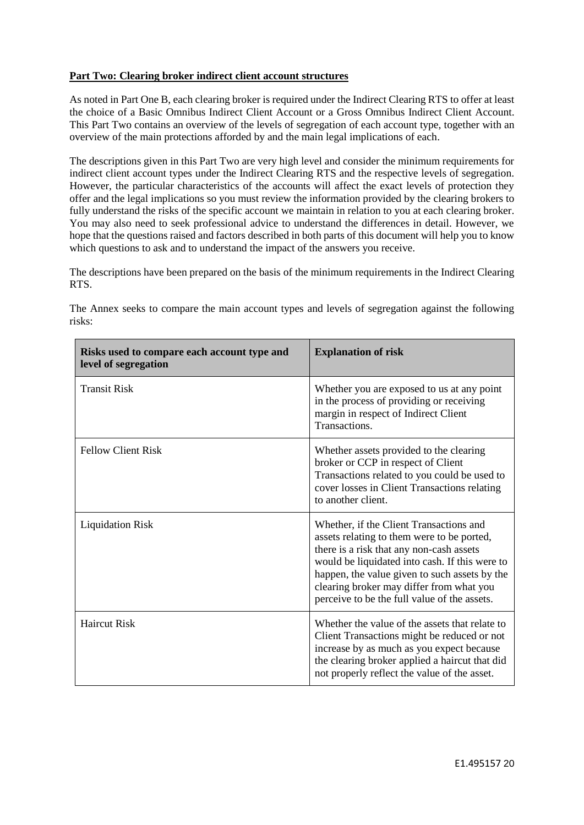# **Part Two: Clearing broker indirect client account structures**

As noted in Part One B, each clearing broker is required under the Indirect Clearing RTS to offer at least the choice of a Basic Omnibus Indirect Client Account or a Gross Omnibus Indirect Client Account. This Part Two contains an overview of the levels of segregation of each account type, together with an overview of the main protections afforded by and the main legal implications of each.

The descriptions given in this Part Two are very high level and consider the minimum requirements for indirect client account types under the Indirect Clearing RTS and the respective levels of segregation. However, the particular characteristics of the accounts will affect the exact levels of protection they offer and the legal implications so you must review the information provided by the clearing brokers to fully understand the risks of the specific account we maintain in relation to you at each clearing broker. You may also need to seek professional advice to understand the differences in detail. However, we hope that the questions raised and factors described in both parts of this document will help you to know which questions to ask and to understand the impact of the answers you receive.

The descriptions have been prepared on the basis of the minimum requirements in the Indirect Clearing RTS.

The Annex seeks to compare the main account types and levels of segregation against the following risks:

| Risks used to compare each account type and<br>level of segregation | <b>Explanation of risk</b>                                                                                                                                                                                                                                                                                                       |
|---------------------------------------------------------------------|----------------------------------------------------------------------------------------------------------------------------------------------------------------------------------------------------------------------------------------------------------------------------------------------------------------------------------|
| <b>Transit Risk</b>                                                 | Whether you are exposed to us at any point<br>in the process of providing or receiving<br>margin in respect of Indirect Client<br>Transactions.                                                                                                                                                                                  |
| <b>Fellow Client Risk</b>                                           | Whether assets provided to the clearing<br>broker or CCP in respect of Client<br>Transactions related to you could be used to<br>cover losses in Client Transactions relating<br>to another client.                                                                                                                              |
| <b>Liquidation Risk</b>                                             | Whether, if the Client Transactions and<br>assets relating to them were to be ported,<br>there is a risk that any non-cash assets<br>would be liquidated into cash. If this were to<br>happen, the value given to such assets by the<br>clearing broker may differ from what you<br>perceive to be the full value of the assets. |
| <b>Haircut Risk</b>                                                 | Whether the value of the assets that relate to<br>Client Transactions might be reduced or not<br>increase by as much as you expect because<br>the clearing broker applied a haircut that did<br>not properly reflect the value of the asset.                                                                                     |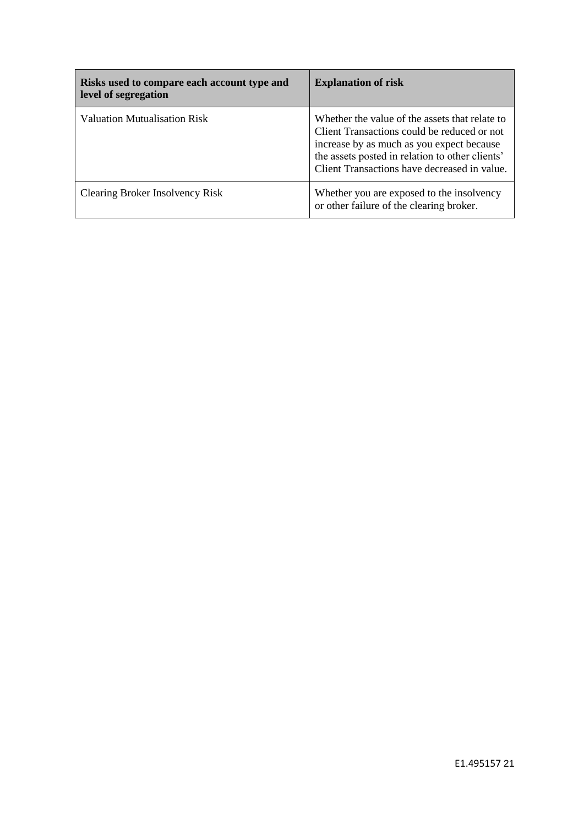| Risks used to compare each account type and<br>level of segregation | <b>Explanation of risk</b>                                                                                                                                                                                                                    |
|---------------------------------------------------------------------|-----------------------------------------------------------------------------------------------------------------------------------------------------------------------------------------------------------------------------------------------|
| Valuation Mutualisation Risk                                        | Whether the value of the assets that relate to<br>Client Transactions could be reduced or not<br>increase by as much as you expect because<br>the assets posted in relation to other clients'<br>Client Transactions have decreased in value. |
| Clearing Broker Insolvency Risk                                     | Whether you are exposed to the insolvency<br>or other failure of the clearing broker.                                                                                                                                                         |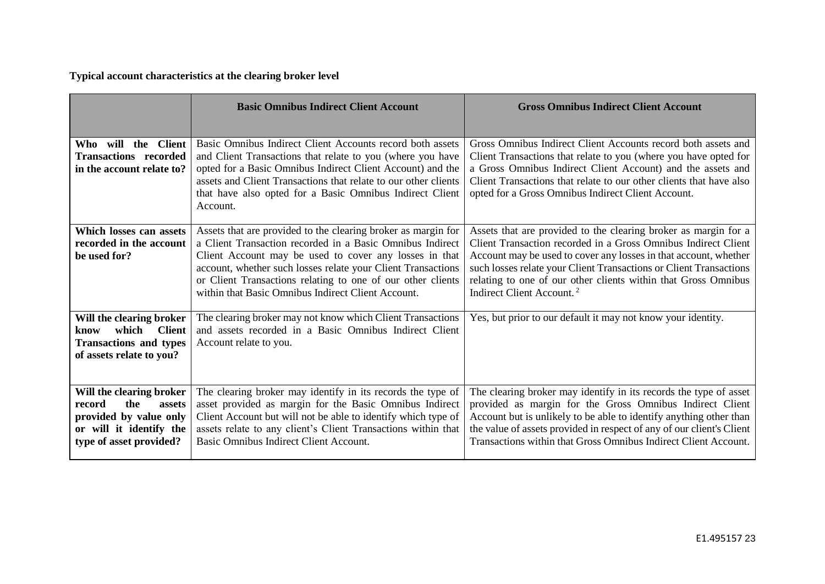**Typical account characteristics at the clearing broker level**

|                                                                                                                                     | <b>Basic Omnibus Indirect Client Account</b>                                                                                                                                                                                                                                                                                                                              | <b>Gross Omnibus Indirect Client Account</b>                                                                                                                                                                                                                                                                                                                                           |
|-------------------------------------------------------------------------------------------------------------------------------------|---------------------------------------------------------------------------------------------------------------------------------------------------------------------------------------------------------------------------------------------------------------------------------------------------------------------------------------------------------------------------|----------------------------------------------------------------------------------------------------------------------------------------------------------------------------------------------------------------------------------------------------------------------------------------------------------------------------------------------------------------------------------------|
|                                                                                                                                     |                                                                                                                                                                                                                                                                                                                                                                           |                                                                                                                                                                                                                                                                                                                                                                                        |
| the Client<br>Who will                                                                                                              | Basic Omnibus Indirect Client Accounts record both assets                                                                                                                                                                                                                                                                                                                 | Gross Omnibus Indirect Client Accounts record both assets and                                                                                                                                                                                                                                                                                                                          |
| <b>Transactions recorded</b><br>in the account relate to?                                                                           | and Client Transactions that relate to you (where you have<br>opted for a Basic Omnibus Indirect Client Account) and the                                                                                                                                                                                                                                                  | Client Transactions that relate to you (where you have opted for<br>a Gross Omnibus Indirect Client Account) and the assets and                                                                                                                                                                                                                                                        |
|                                                                                                                                     | assets and Client Transactions that relate to our other clients                                                                                                                                                                                                                                                                                                           | Client Transactions that relate to our other clients that have also                                                                                                                                                                                                                                                                                                                    |
|                                                                                                                                     | that have also opted for a Basic Omnibus Indirect Client                                                                                                                                                                                                                                                                                                                  | opted for a Gross Omnibus Indirect Client Account.                                                                                                                                                                                                                                                                                                                                     |
|                                                                                                                                     | Account.                                                                                                                                                                                                                                                                                                                                                                  |                                                                                                                                                                                                                                                                                                                                                                                        |
| Which losses can assets<br>recorded in the account<br>be used for?                                                                  | Assets that are provided to the clearing broker as margin for<br>a Client Transaction recorded in a Basic Omnibus Indirect<br>Client Account may be used to cover any losses in that<br>account, whether such losses relate your Client Transactions<br>or Client Transactions relating to one of our other clients<br>within that Basic Omnibus Indirect Client Account. | Assets that are provided to the clearing broker as margin for a<br>Client Transaction recorded in a Gross Omnibus Indirect Client<br>Account may be used to cover any losses in that account, whether<br>such losses relate your Client Transactions or Client Transactions<br>relating to one of our other clients within that Gross Omnibus<br>Indirect Client Account. <sup>2</sup> |
| Will the clearing broker<br>which<br><b>Client</b><br>know<br><b>Transactions and types</b><br>of assets relate to you?             | The clearing broker may not know which Client Transactions<br>and assets recorded in a Basic Omnibus Indirect Client<br>Account relate to you.                                                                                                                                                                                                                            | Yes, but prior to our default it may not know your identity.                                                                                                                                                                                                                                                                                                                           |
| Will the clearing broker<br>the<br>record<br>assets<br>provided by value only<br>or will it identify the<br>type of asset provided? | The clearing broker may identify in its records the type of<br>asset provided as margin for the Basic Omnibus Indirect<br>Client Account but will not be able to identify which type of<br>assets relate to any client's Client Transactions within that<br>Basic Omnibus Indirect Client Account.                                                                        | The clearing broker may identify in its records the type of asset<br>provided as margin for the Gross Omnibus Indirect Client<br>Account but is unlikely to be able to identify anything other than<br>the value of assets provided in respect of any of our client's Client<br>Transactions within that Gross Omnibus Indirect Client Account.                                        |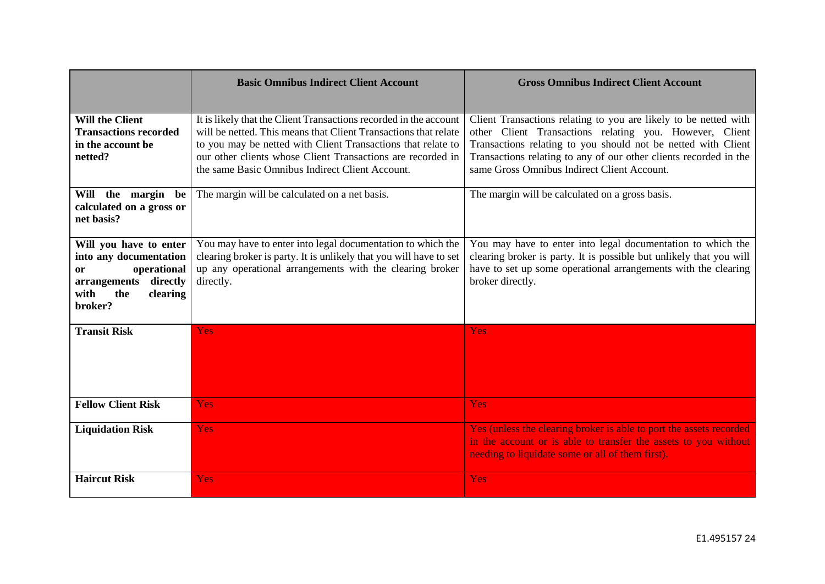|                                                                                                                                         | <b>Basic Omnibus Indirect Client Account</b>                                                                                                                                                                                                                                                                           | <b>Gross Omnibus Indirect Client Account</b>                                                                                                                                                                                                                                                                     |
|-----------------------------------------------------------------------------------------------------------------------------------------|------------------------------------------------------------------------------------------------------------------------------------------------------------------------------------------------------------------------------------------------------------------------------------------------------------------------|------------------------------------------------------------------------------------------------------------------------------------------------------------------------------------------------------------------------------------------------------------------------------------------------------------------|
| <b>Will the Client</b><br><b>Transactions recorded</b><br>in the account be<br>netted?                                                  | It is likely that the Client Transactions recorded in the account<br>will be netted. This means that Client Transactions that relate<br>to you may be netted with Client Transactions that relate to<br>our other clients whose Client Transactions are recorded in<br>the same Basic Omnibus Indirect Client Account. | Client Transactions relating to you are likely to be netted with<br>other Client Transactions relating you. However, Client<br>Transactions relating to you should not be netted with Client<br>Transactions relating to any of our other clients recorded in the<br>same Gross Omnibus Indirect Client Account. |
| Will the margin be<br>calculated on a gross or<br>net basis?                                                                            | The margin will be calculated on a net basis.                                                                                                                                                                                                                                                                          | The margin will be calculated on a gross basis.                                                                                                                                                                                                                                                                  |
| Will you have to enter<br>into any documentation<br>operational<br>0r<br>directly<br>arrangements<br>with<br>the<br>clearing<br>broker? | You may have to enter into legal documentation to which the<br>clearing broker is party. It is unlikely that you will have to set<br>up any operational arrangements with the clearing broker<br>directly.                                                                                                             | You may have to enter into legal documentation to which the<br>clearing broker is party. It is possible but unlikely that you will<br>have to set up some operational arrangements with the clearing<br>broker directly.                                                                                         |
| <b>Transit Risk</b>                                                                                                                     | <b>Yes</b>                                                                                                                                                                                                                                                                                                             | <b>Yes</b>                                                                                                                                                                                                                                                                                                       |
| <b>Fellow Client Risk</b>                                                                                                               | <b>Yes</b>                                                                                                                                                                                                                                                                                                             | <b>Yes</b>                                                                                                                                                                                                                                                                                                       |
| <b>Liquidation Risk</b>                                                                                                                 | <b>Yes</b>                                                                                                                                                                                                                                                                                                             | Yes (unless the clearing broker is able to port the assets recorded<br>in the account or is able to transfer the assets to you without<br>needing to liquidate some or all of them first).                                                                                                                       |
| <b>Haircut Risk</b>                                                                                                                     | <b>Yes</b>                                                                                                                                                                                                                                                                                                             | <b>Yes</b>                                                                                                                                                                                                                                                                                                       |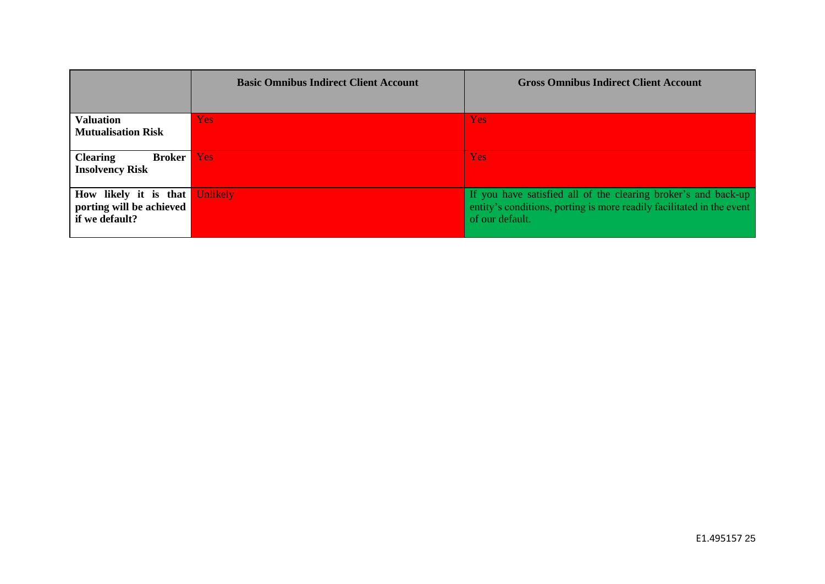|                                                            | <b>Basic Omnibus Indirect Client Account</b> | <b>Gross Omnibus Indirect Client Account</b>                          |
|------------------------------------------------------------|----------------------------------------------|-----------------------------------------------------------------------|
|                                                            |                                              |                                                                       |
| <b>Valuation</b>                                           | Yes:                                         | Yes:                                                                  |
| <b>Mutualisation Risk</b>                                  |                                              |                                                                       |
| <b>Clearing</b><br><b>Broker</b><br><b>Insolvency Risk</b> | <b>Yes</b>                                   | Yes                                                                   |
| How likely it is that                                      | <b>Unlikely</b>                              | If you have satisfied all of the clearing broker's and back-up        |
| porting will be achieved                                   |                                              | entity's conditions, porting is more readily facilitated in the event |
| if we default?                                             |                                              | of our default.                                                       |